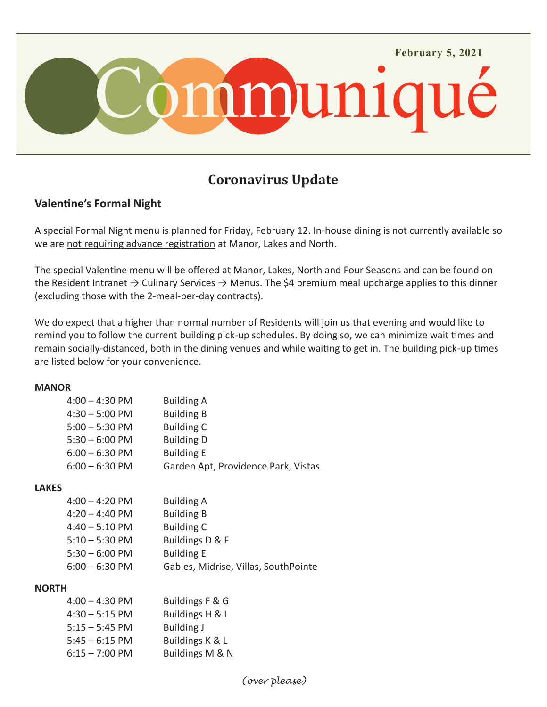

# **Coronavirus Update**

# **Valentine's Formal Night**

A special Formal Night menu is planned for Friday, February 12. In-house dining is not currently available so we are not requiring advance registration at Manor, Lakes and North.

The special Valentine menu will be offered at Manor, Lakes, North and Four Seasons and can be found on the Resident Intranet  $\rightarrow$  Culinary Services  $\rightarrow$  Menus. The \$4 premium meal upcharge applies to this dinner (excluding those with the 2-meal-per-day contracts).

We do expect that a higher than normal number of Residents will join us that evening and would like to remind you to follow the current building pick-up schedules. By doing so, we can minimize wait times and remain socially-distanced, both in the dining venues and while waiting to get in. The building pick-up times are listed below for your convenience.

#### **MANOR**

| $4:00 - 4:30 \text{ PM}$             | <b>Building A</b>                                        |
|--------------------------------------|----------------------------------------------------------|
| $4:30 - 5:00$ PM                     | <b>Building B</b>                                        |
| $5:00 - 5:30$ PM                     | <b>Building C</b>                                        |
| $5:30 - 6:00$ PM<br>$6:00 - 6:30$ PM | <b>Building D</b>                                        |
| $6:00 - 6:30$ PM                     | <b>Building E</b><br>Garden Apt, Providence Park, Vistas |
|                                      |                                                          |

## **LAKES**

| <b>Building A</b>                    |
|--------------------------------------|
| <b>Building B</b>                    |
| <b>Building C</b>                    |
| Buildings D & F                      |
| <b>Building E</b>                    |
| Gables, Midrise, Villas, SouthPointe |
|                                      |

## **NORTH**

| 4:00 – 4:30 PM   | Buildings F & G   |
|------------------|-------------------|
| $4:30 - 5:15$ PM | Buildings H & I   |
| $5:15 - 5:45$ PM | <b>Building J</b> |
| 5:45 – 6:15 PM   | Buildings K & L   |
| 6:15 – 7:00 PM   | Buildings M & N   |
|                  |                   |